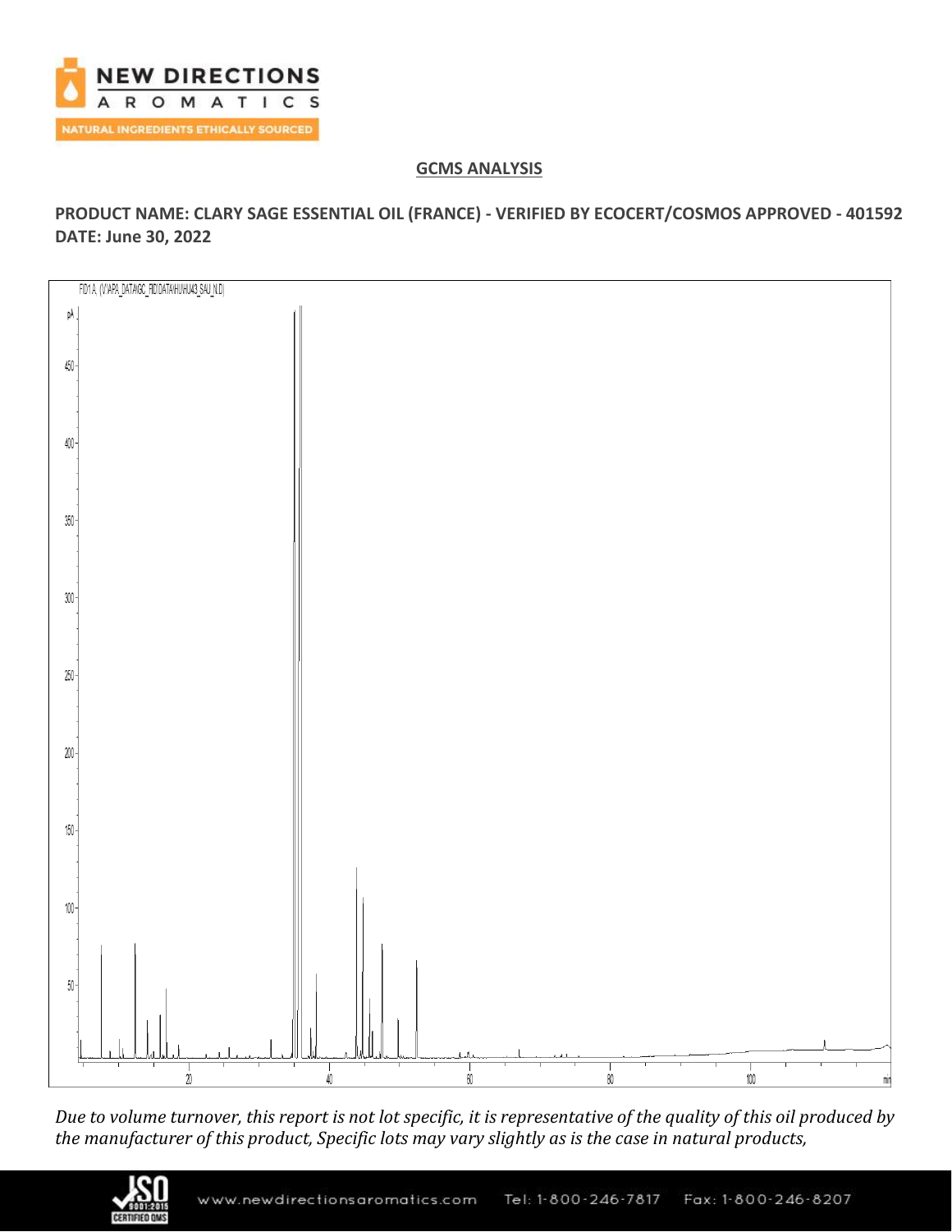

# **GCMS ANALYSIS**

**PRODUCT NAME: CLARY SAGE ESSENTIAL OIL (FRANCE) - VERIFIED BY ECOCERT/COSMOS APPROVED - 401592 DATE: June 30, 2022**



*Due to volume turnover, this report is not lot specific, it is representative of the quality of this oil produced by the manufacturer of this product, Specific lots may vary slightly as is the case in natural products,*

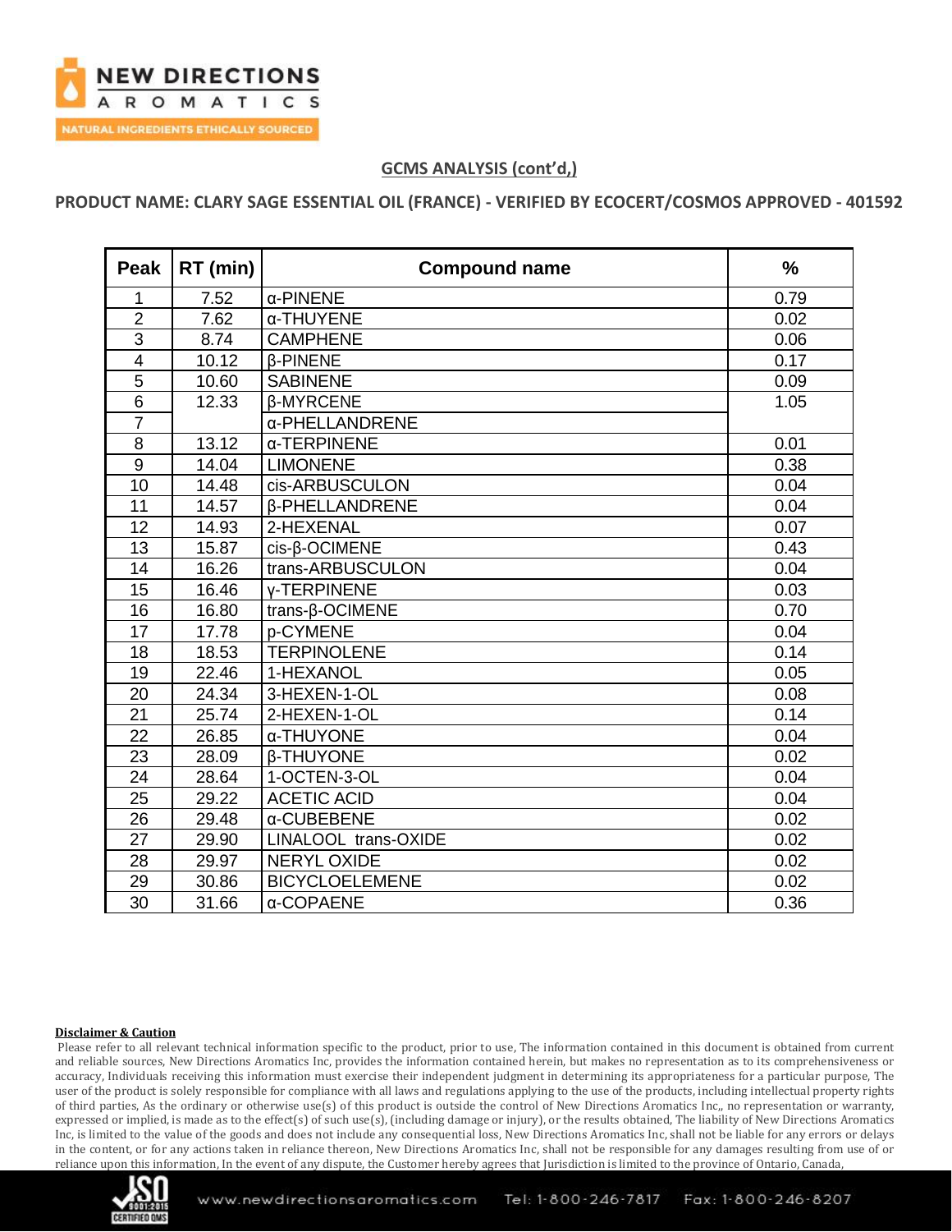

**PRODUCT NAME: CLARY SAGE ESSENTIAL OIL (FRANCE) - VERIFIED BY ECOCERT/COSMOS APPROVED - 401592**

| <b>Peak</b>    | RT (min) | <b>Compound name</b>         | $\frac{0}{0}$ |
|----------------|----------|------------------------------|---------------|
| 1              | 7.52     | $\alpha$ -PINENE             | 0.79          |
| $\overline{2}$ | 7.62     | α-THUYENE                    | 0.02          |
| 3              | 8.74     | <b>CAMPHENE</b>              | 0.06          |
| 4              | 10.12    | <b><i>β-PINENE</i></b>       | 0.17          |
| 5              | 10.60    | <b>SABINENE</b>              | 0.09          |
| 6              | 12.33    | <b>B-MYRCENE</b>             | 1.05          |
| $\overline{7}$ |          | α-PHELLANDRENE               |               |
| 8              | 13.12    | α-TERPINENE                  | 0.01          |
| 9              | 14.04    | <b>LIMONENE</b>              | 0.38          |
| 10             | 14.48    | cis-ARBUSCULON               | 0.04          |
| 11             | 14.57    | <b><i>B-PHELLANDRENE</i></b> | 0.04          |
| 12             | 14.93    | 2-HEXENAL                    | 0.07          |
| 13             | 15.87    | cis-β-OCIMENE                | 0.43          |
| 14             | 16.26    | trans-ARBUSCULON             | 0.04          |
| 15             | 16.46    | <b>v-TERPINENE</b>           | 0.03          |
| 16             | 16.80    | trans-β-OCIMENE              | 0.70          |
| 17             | 17.78    | p-CYMENE                     | 0.04          |
| 18             | 18.53    | <b>TERPINOLENE</b>           | 0.14          |
| 19             | 22.46    | 1-HEXANOL                    | 0.05          |
| 20             | 24.34    | 3-HEXEN-1-OL                 | 0.08          |
| 21             | 25.74    | 2-HEXEN-1-OL                 | 0.14          |
| 22             | 26.85    | α-THUYONE                    | 0.04          |
| 23             | 28.09    | <b><i>B-THUYONE</i></b>      | 0.02          |
| 24             | 28.64    | 1-OCTEN-3-OL                 | 0.04          |
| 25             | 29.22    | <b>ACETIC ACID</b>           | 0.04          |
| 26             | 29.48    | α-CUBEBENE                   | 0.02          |
| 27             | 29.90    | LINALOOL trans-OXIDE         | 0.02          |
| 28             | 29.97    | <b>NERYL OXIDE</b>           | 0.02          |
| 29             | 30.86    | <b>BICYCLOELEMENE</b>        | 0.02          |
| 30             | 31.66    | α-COPAENE                    | 0.36          |

#### **Disclaimer & Caution**

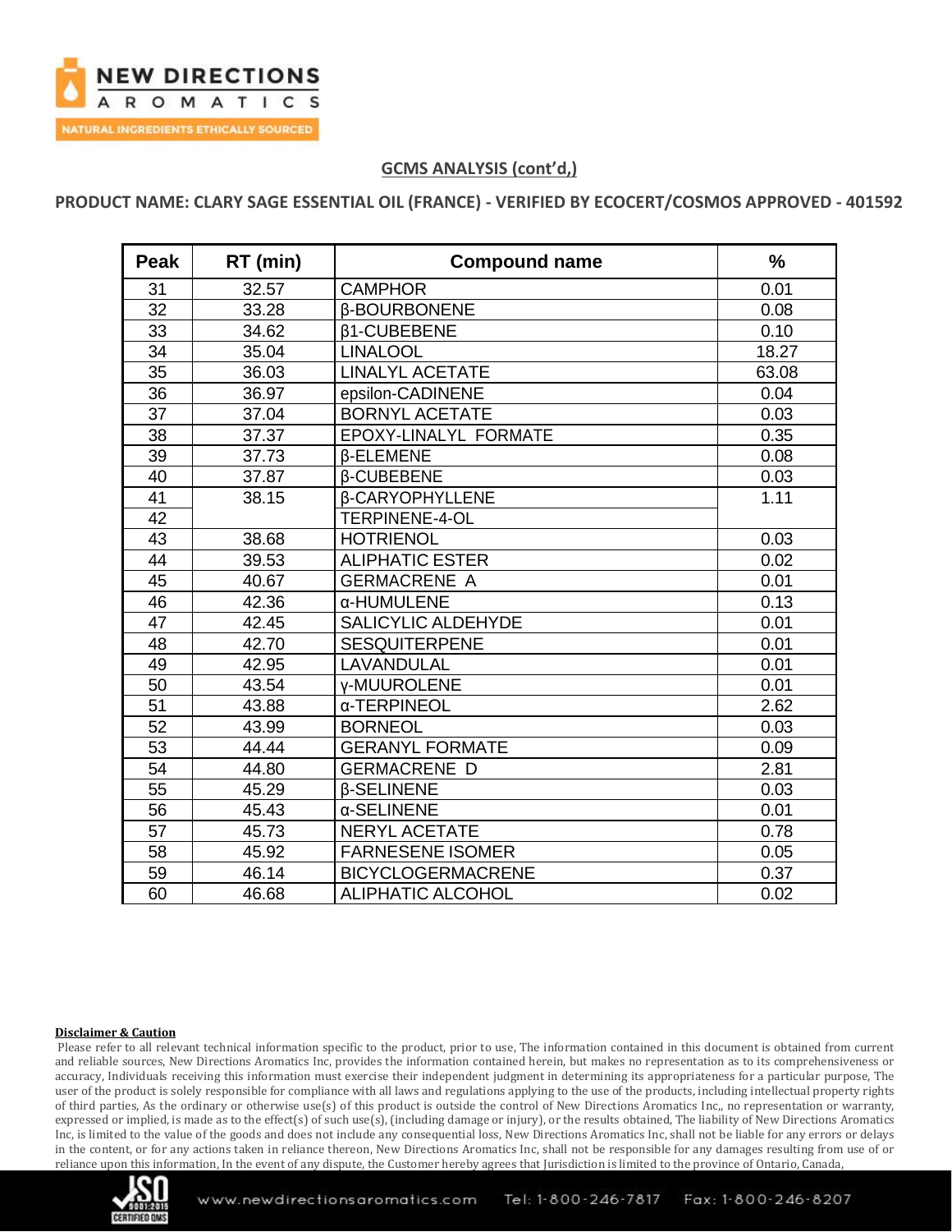

**PRODUCT NAME: CLARY SAGE ESSENTIAL OIL (FRANCE) - VERIFIED BY ECOCERT/COSMOS APPROVED - 401592**

| <b>Peak</b>     | RT (min) | <b>Compound name</b>       | $\frac{0}{0}$ |
|-----------------|----------|----------------------------|---------------|
| 31              | 32.57    | <b>CAMPHOR</b>             | 0.01          |
| 32              | 33.28    | <b><i>B-BOURBONENE</i></b> | 0.08          |
| 33              | 34.62    | <b>B1-CUBEBENE</b>         | 0.10          |
| $\overline{34}$ | 35.04    | <b>LINALOOL</b>            | 18.27         |
| 35              | 36.03    | <b>LINALYL ACETATE</b>     | 63.08         |
| 36              | 36.97    | epsilon-CADINENE           | 0.04          |
| 37              | 37.04    | <b>BORNYL ACETATE</b>      | 0.03          |
| 38              | 37.37    | EPOXY-LINALYL FORMATE      | 0.35          |
| 39              | 37.73    | <b>B-ELEMENE</b>           | 0.08          |
| 40              | 37.87    | <b>B-CUBEBENE</b>          | 0.03          |
| 41              | 38.15    | <b>B-CARYOPHYLLENE</b>     | 1.11          |
| 42              |          | TERPINENE-4-OL             |               |
| 43              | 38.68    | <b>HOTRIENOL</b>           | 0.03          |
| 44              | 39.53    | <b>ALIPHATIC ESTER</b>     | 0.02          |
| 45              | 40.67    | <b>GERMACRENE A</b>        | 0.01          |
| 46              | 42.36    | α-HUMULENE                 | 0.13          |
| 47              | 42.45    | <b>SALICYLIC ALDEHYDE</b>  | 0.01          |
| 48              | 42.70    | <b>SESQUITERPENE</b>       | 0.01          |
| 49              | 42.95    | LAVANDULAL                 | 0.01          |
| 50              | 43.54    | <b>v-MUUROLENE</b>         | 0.01          |
| 51              | 43.88    | α-TERPINEOL                | 2.62          |
| 52              | 43.99    | <b>BORNEOL</b>             | 0.03          |
| 53              | 44.44    | <b>GERANYL FORMATE</b>     | 0.09          |
| 54              | 44.80    | <b>GERMACRENE D</b>        | 2.81          |
| 55              | 45.29    | <b><i>B-SELINENE</i></b>   | 0.03          |
| 56              | 45.43    | α-SELINENE                 | 0.01          |
| 57              | 45.73    | <b>NERYL ACETATE</b>       | 0.78          |
| 58              | 45.92    | <b>FARNESENE ISOMER</b>    | 0.05          |
| 59              | 46.14    | <b>BICYCLOGERMACRENE</b>   | 0.37          |
| 60              | 46.68    | <b>ALIPHATIC ALCOHOL</b>   | 0.02          |

#### **Disclaimer & Caution**

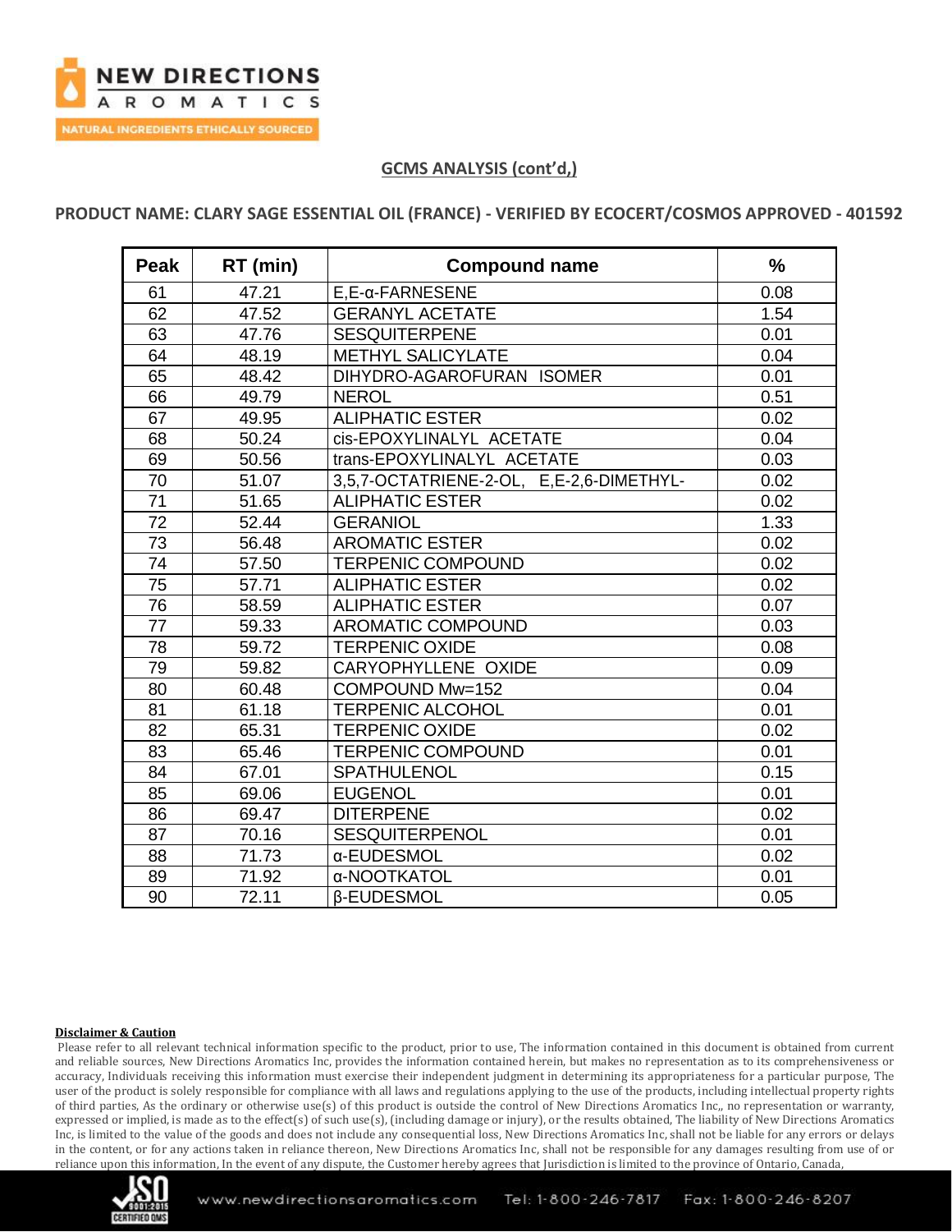

## **PRODUCT NAME: CLARY SAGE ESSENTIAL OIL (FRANCE) - VERIFIED BY ECOCERT/COSMOS APPROVED - 401592**

| <b>Peak</b> | RT (min) | <b>Compound name</b>                     | $\frac{0}{0}$ |
|-------------|----------|------------------------------------------|---------------|
| 61          | 47.21    | $E.E-a-FARNESENE$                        | 0.08          |
| 62          | 47.52    | <b>GERANYL ACETATE</b>                   | 1.54          |
| 63          | 47.76    | <b>SESQUITERPENE</b>                     | 0.01          |
| 64          | 48.19    | <b>METHYL SALICYLATE</b>                 | 0.04          |
| 65          | 48.42    | DIHYDRO-AGAROFURAN ISOMER                | 0.01          |
| 66          | 49.79    | <b>NEROL</b>                             | 0.51          |
| 67          | 49.95    | <b>ALIPHATIC ESTER</b>                   | 0.02          |
| 68          | 50.24    | cis-EPOXYLINALYL ACETATE                 | 0.04          |
| 69          | 50.56    | trans-EPOXYLINALYL ACETATE               | 0.03          |
| 70          | 51.07    | 3,5,7-OCTATRIENE-2-OL, E,E-2,6-DIMETHYL- | 0.02          |
| 71          | 51.65    | <b>ALIPHATIC ESTER</b>                   | 0.02          |
| 72          | 52.44    | <b>GERANIOL</b>                          | 1.33          |
| 73          | 56.48    | <b>AROMATIC ESTER</b>                    | 0.02          |
| 74          | 57.50    | <b>TERPENIC COMPOUND</b>                 | 0.02          |
| 75          | 57.71    | <b>ALIPHATIC ESTER</b>                   | 0.02          |
| 76          | 58.59    | <b>ALIPHATIC ESTER</b>                   | 0.07          |
| 77          | 59.33    | <b>AROMATIC COMPOUND</b>                 | 0.03          |
| 78          | 59.72    | <b>TERPENIC OXIDE</b>                    | 0.08          |
| 79          | 59.82    | CARYOPHYLLENE OXIDE                      | 0.09          |
| 80          | 60.48    | COMPOUND Mw=152                          | 0.04          |
| 81          | 61.18    | <b>TERPENIC ALCOHOL</b>                  | 0.01          |
| 82          | 65.31    | <b>TERPENIC OXIDE</b>                    | 0.02          |
| 83          | 65.46    | <b>TERPENIC COMPOUND</b>                 | 0.01          |
| 84          | 67.01    | <b>SPATHULENOL</b>                       | 0.15          |
| 85          | 69.06    | <b>EUGENOL</b>                           | 0.01          |
| 86          | 69.47    | <b>DITERPENE</b>                         | 0.02          |
| 87          | 70.16    | <b>SESQUITERPENOL</b>                    | 0.01          |
| 88          | 71.73    | α-EUDESMOL                               | 0.02          |
| 89          | 71.92    | α-NOOTKATOL                              | 0.01          |
| 90          | 72.11    | <b>B-EUDESMOL</b>                        | 0.05          |

#### **Disclaimer & Caution**